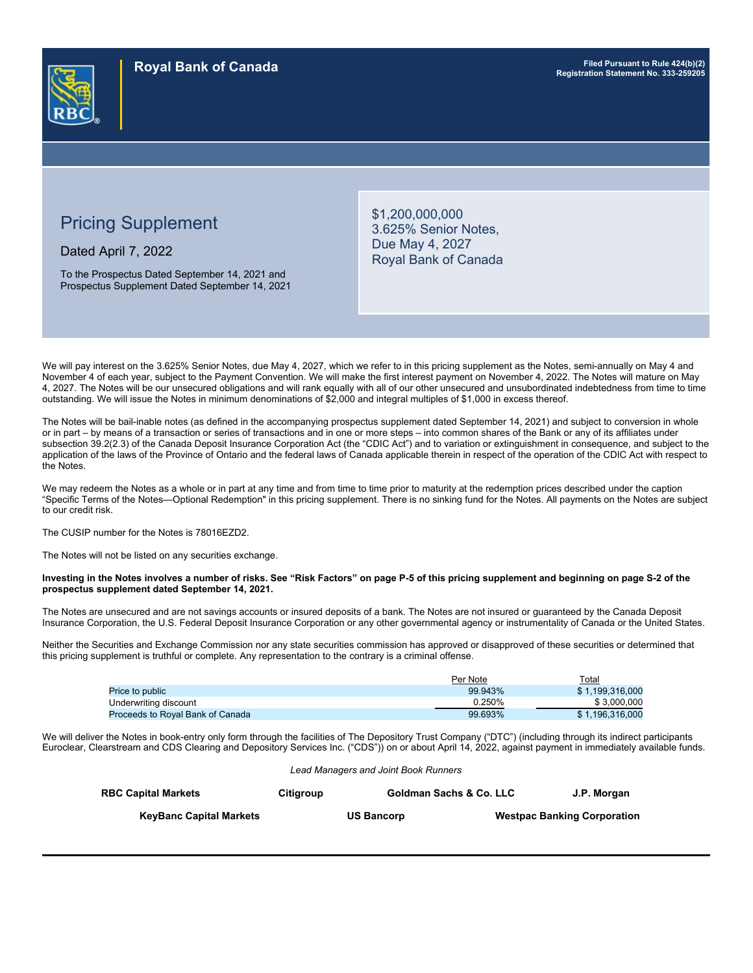# Pricing Supplement

Dated April 7, 2022

To the Prospectus Dated September 14, 2021 and Prospectus Supplement Dated September 14, 2021 \$1,200,000,000 3.625% Senior Notes, Due May 4, 2027 Royal Bank of Canada

We will pay interest on the 3.625% Senior Notes, due May 4, 2027, which we refer to in this pricing supplement as the Notes, semi-annually on May 4 and November 4 of each year, subject to the Payment Convention. We will make the first interest payment on November 4, 2022. The Notes will mature on May 4, 2027. The Notes will be our unsecured obligations and will rank equally with all of our other unsecured and unsubordinated indebtedness from time to time outstanding. We will issue the Notes in minimum denominations of \$2,000 and integral multiples of \$1,000 in excess thereof.

The Notes will be bail-inable notes (as defined in the accompanying prospectus supplement dated September 14, 2021) and subject to conversion in whole or in part – by means of a transaction or series of transactions and in one or more steps – into common shares of the Bank or any of its affiliates under subsection 39.2(2.3) of the Canada Deposit Insurance Corporation Act (the "CDIC Act") and to variation or extinguishment in consequence, and subject to the application of the laws of the Province of Ontario and the federal laws of Canada applicable therein in respect of the operation of the CDIC Act with respect to the Notes.

We may redeem the Notes as a whole or in part at any time and from time to time prior to maturity at the redemption prices described under the caption "Specific Terms of the Notes—Optional Redemption" in this pricing supplement. There is no sinking fund for the Notes. All payments on the Notes are subject to our credit risk.

The CUSIP number for the Notes is 78016EZD2.

The Notes will not be listed on any securities exchange.

**Investing in the Notes involves a number of risks. See "Risk Factors" on page P-5 of this pricing supplement and beginning on page S-2 of the prospectus supplement dated September 14, 2021.**

The Notes are unsecured and are not savings accounts or insured deposits of a bank. The Notes are not insured or guaranteed by the Canada Deposit Insurance Corporation, the U.S. Federal Deposit Insurance Corporation or any other governmental agency or instrumentality of Canada or the United States.

Neither the Securities and Exchange Commission nor any state securities commission has approved or disapproved of these securities or determined that this pricing supplement is truthful or complete. Any representation to the contrary is a criminal offense.

|                                         | Per Note | Total           |
|-----------------------------------------|----------|-----------------|
| Price to public                         | 99.943%  | \$1.199.316.000 |
| Underwriting discount                   | 0.250%   | \$3,000,000     |
| <b>Proceeds to Royal Bank of Canada</b> | 99.693%  | \$1.196.316.000 |

We will deliver the Notes in book-entry only form through the facilities of The Depository Trust Company ("DTC") (including through its indirect participants Euroclear, Clearstream and CDS Clearing and Depository Services Inc. ("CDS")) on or about April 14, 2022, against payment in immediately available funds.

*Lead Managers and Joint Book Runners*

| <b>RBC Capital Markets</b>     | Citigroup | <b>Goldman Sachs &amp; Co. LLC</b> | J.P. Morgan                        |
|--------------------------------|-----------|------------------------------------|------------------------------------|
| <b>KeyBanc Capital Markets</b> |           | <b>US Bancorp</b>                  | <b>Westpac Banking Corporation</b> |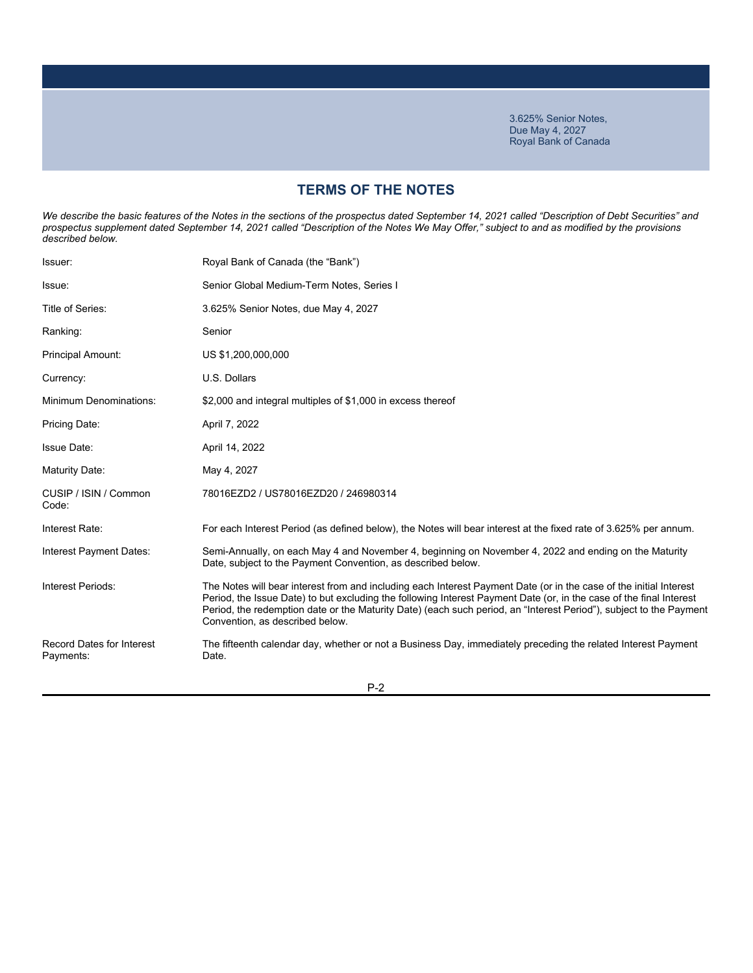# **TERMS OF THE NOTES**

*We describe the basic features of the Notes in the sections of the prospectus dated September 14, 2021 called "Description of Debt Securities" and prospectus supplement dated September 14, 2021 called "Description of the Notes We May Offer," subject to and as modified by the provisions described below.*

| Issuer:                                       | Royal Bank of Canada (the "Bank")                                                                                                                                                                                                                                                                                                                                                                  |
|-----------------------------------------------|----------------------------------------------------------------------------------------------------------------------------------------------------------------------------------------------------------------------------------------------------------------------------------------------------------------------------------------------------------------------------------------------------|
| Issue:                                        | Senior Global Medium-Term Notes, Series I                                                                                                                                                                                                                                                                                                                                                          |
| Title of Series:                              | 3.625% Senior Notes, due May 4, 2027                                                                                                                                                                                                                                                                                                                                                               |
| Ranking:                                      | Senior                                                                                                                                                                                                                                                                                                                                                                                             |
| Principal Amount:                             | US \$1,200,000,000                                                                                                                                                                                                                                                                                                                                                                                 |
| Currency:                                     | U.S. Dollars                                                                                                                                                                                                                                                                                                                                                                                       |
| <b>Minimum Denominations:</b>                 | \$2,000 and integral multiples of \$1,000 in excess thereof                                                                                                                                                                                                                                                                                                                                        |
| Pricing Date:                                 | April 7, 2022                                                                                                                                                                                                                                                                                                                                                                                      |
| <b>Issue Date:</b>                            | April 14, 2022                                                                                                                                                                                                                                                                                                                                                                                     |
| Maturity Date:                                | May 4, 2027                                                                                                                                                                                                                                                                                                                                                                                        |
| CUSIP / ISIN / Common<br>Code:                | 78016EZD2 / US78016EZD20 / 246980314                                                                                                                                                                                                                                                                                                                                                               |
| Interest Rate:                                | For each Interest Period (as defined below), the Notes will bear interest at the fixed rate of 3.625% per annum.                                                                                                                                                                                                                                                                                   |
| Interest Payment Dates:                       | Semi-Annually, on each May 4 and November 4, beginning on November 4, 2022 and ending on the Maturity<br>Date, subject to the Payment Convention, as described below.                                                                                                                                                                                                                              |
| Interest Periods:                             | The Notes will bear interest from and including each Interest Payment Date (or in the case of the initial Interest<br>Period, the Issue Date) to but excluding the following Interest Payment Date (or, in the case of the final Interest<br>Period, the redemption date or the Maturity Date) (each such period, an "Interest Period"), subject to the Payment<br>Convention, as described below. |
| <b>Record Dates for Interest</b><br>Payments: | The fifteenth calendar day, whether or not a Business Day, immediately preceding the related Interest Payment<br>Date.                                                                                                                                                                                                                                                                             |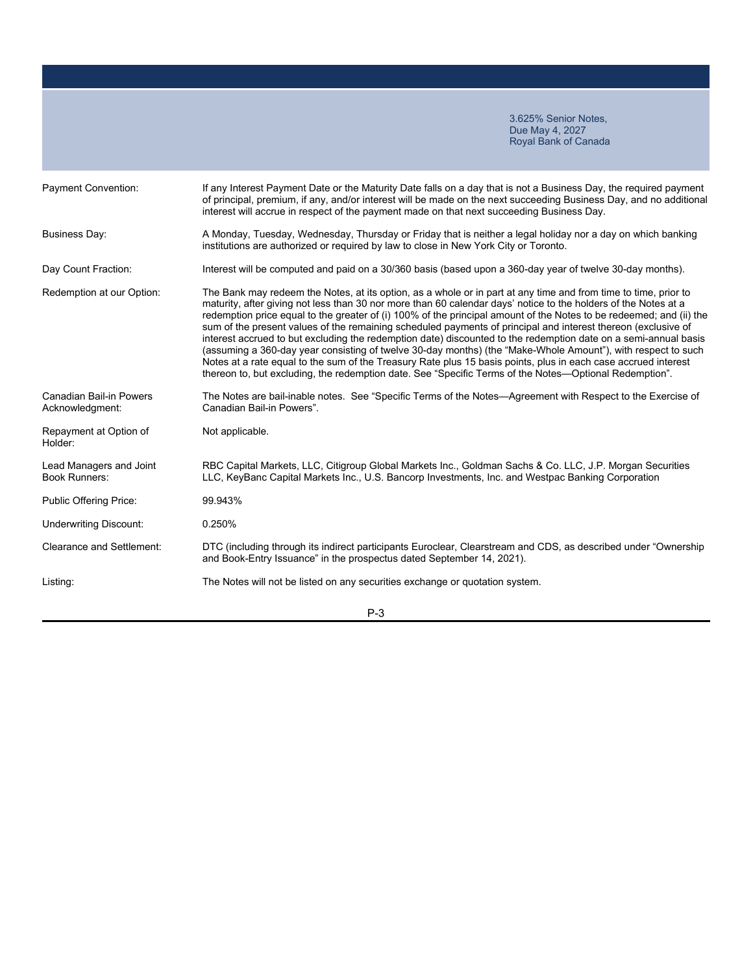| <b>Payment Convention:</b>                      | If any Interest Payment Date or the Maturity Date falls on a day that is not a Business Day, the required payment<br>of principal, premium, if any, and/or interest will be made on the next succeeding Business Day, and no additional<br>interest will accrue in respect of the payment made on that next succeeding Business Day.                                                                                                                                                                                                                                                                                                                                                                                                                                                                                                                                                                                                      |
|-------------------------------------------------|-------------------------------------------------------------------------------------------------------------------------------------------------------------------------------------------------------------------------------------------------------------------------------------------------------------------------------------------------------------------------------------------------------------------------------------------------------------------------------------------------------------------------------------------------------------------------------------------------------------------------------------------------------------------------------------------------------------------------------------------------------------------------------------------------------------------------------------------------------------------------------------------------------------------------------------------|
| <b>Business Day:</b>                            | A Monday, Tuesday, Wednesday, Thursday or Friday that is neither a legal holiday nor a day on which banking<br>institutions are authorized or required by law to close in New York City or Toronto.                                                                                                                                                                                                                                                                                                                                                                                                                                                                                                                                                                                                                                                                                                                                       |
| Day Count Fraction:                             | Interest will be computed and paid on a 30/360 basis (based upon a 360-day year of twelve 30-day months).                                                                                                                                                                                                                                                                                                                                                                                                                                                                                                                                                                                                                                                                                                                                                                                                                                 |
| Redemption at our Option:                       | The Bank may redeem the Notes, at its option, as a whole or in part at any time and from time to time, prior to<br>maturity, after giving not less than 30 nor more than 60 calendar days' notice to the holders of the Notes at a<br>redemption price equal to the greater of (i) 100% of the principal amount of the Notes to be redeemed; and (ii) the<br>sum of the present values of the remaining scheduled payments of principal and interest thereon (exclusive of<br>interest accrued to but excluding the redemption date) discounted to the redemption date on a semi-annual basis<br>(assuming a 360-day year consisting of twelve 30-day months) (the "Make-Whole Amount"), with respect to such<br>Notes at a rate equal to the sum of the Treasury Rate plus 15 basis points, plus in each case accrued interest<br>thereon to, but excluding, the redemption date. See "Specific Terms of the Notes—Optional Redemption". |
| Canadian Bail-in Powers<br>Acknowledgment:      | The Notes are bail-inable notes. See "Specific Terms of the Notes—Agreement with Respect to the Exercise of<br>Canadian Bail-in Powers".                                                                                                                                                                                                                                                                                                                                                                                                                                                                                                                                                                                                                                                                                                                                                                                                  |
| Repayment at Option of<br>Holder:               | Not applicable.                                                                                                                                                                                                                                                                                                                                                                                                                                                                                                                                                                                                                                                                                                                                                                                                                                                                                                                           |
| Lead Managers and Joint<br><b>Book Runners:</b> | RBC Capital Markets, LLC, Citigroup Global Markets Inc., Goldman Sachs & Co. LLC, J.P. Morgan Securities<br>LLC, KeyBanc Capital Markets Inc., U.S. Bancorp Investments, Inc. and Westpac Banking Corporation                                                                                                                                                                                                                                                                                                                                                                                                                                                                                                                                                                                                                                                                                                                             |
| Public Offering Price:                          | 99.943%                                                                                                                                                                                                                                                                                                                                                                                                                                                                                                                                                                                                                                                                                                                                                                                                                                                                                                                                   |
| <b>Underwriting Discount:</b>                   | 0.250%                                                                                                                                                                                                                                                                                                                                                                                                                                                                                                                                                                                                                                                                                                                                                                                                                                                                                                                                    |
| Clearance and Settlement:                       | DTC (including through its indirect participants Euroclear, Clearstream and CDS, as described under "Ownership<br>and Book-Entry Issuance" in the prospectus dated September 14, 2021).                                                                                                                                                                                                                                                                                                                                                                                                                                                                                                                                                                                                                                                                                                                                                   |
| Listing:                                        | The Notes will not be listed on any securities exchange or quotation system.                                                                                                                                                                                                                                                                                                                                                                                                                                                                                                                                                                                                                                                                                                                                                                                                                                                              |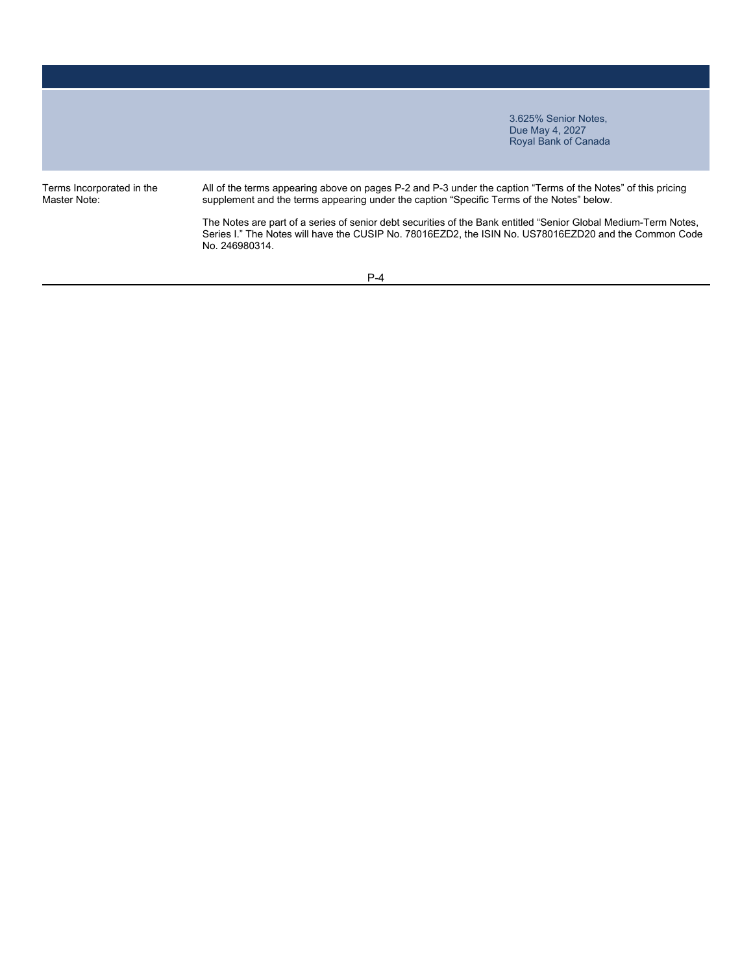Terms Incorporated in the Master Note:

All of the terms appearing above on pages P-2 and P-3 under the caption "Terms of the Notes" of this pricing supplement and the terms appearing under the caption "Specific Terms of the Notes" below.

The Notes are part of a series of senior debt securities of the Bank entitled "Senior Global Medium-Term Notes, Series I." The Notes will have the CUSIP No. 78016EZD2, the ISIN No. US78016EZD20 and the Common Code No. 246980314.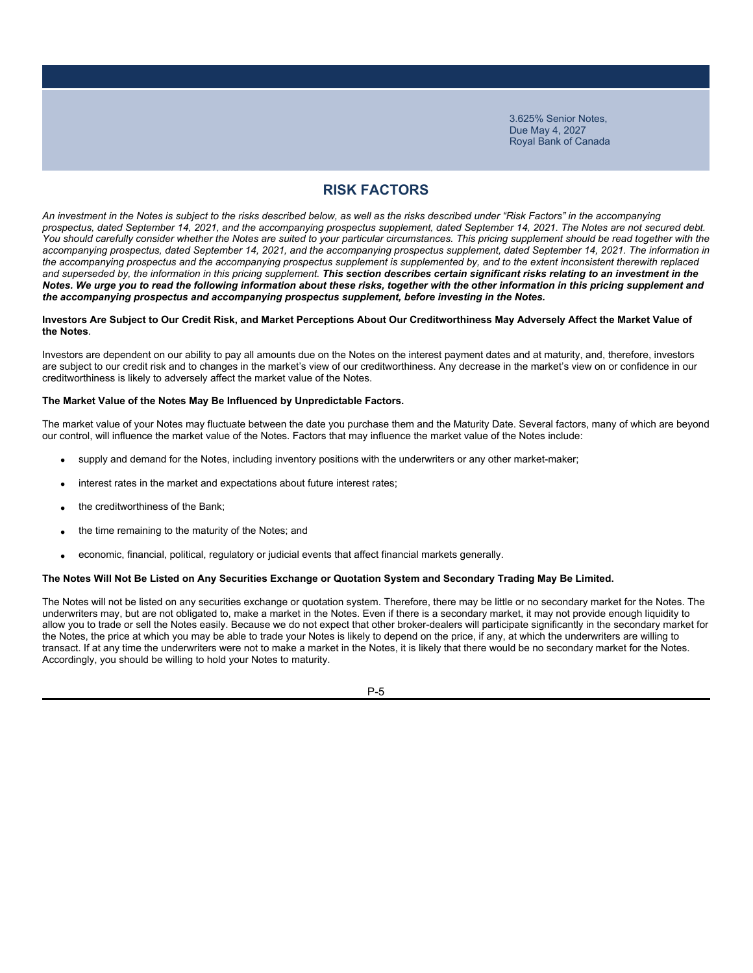# **RISK FACTORS**

*An investment in the Notes is subject to the risks described below, as well as the risks described under "Risk Factors" in the accompanying prospectus, dated September 14, 2021, and the accompanying prospectus supplement, dated September 14, 2021. The Notes are not secured debt.*  You should carefully consider whether the Notes are suited to your particular circumstances. This pricing supplement should be read together with the *accompanying prospectus, dated September 14, 2021, and the accompanying prospectus supplement, dated September 14, 2021. The information in*  the accompanying prospectus and the accompanying prospectus supplement is supplemented by, and to the extent inconsistent therewith replaced and superseded by, the information in this pricing supplement. This section describes certain significant risks relating to an investment in the *Notes. We urge you to read the following information about these risks, together with the other information in this pricing supplement and the accompanying prospectus and accompanying prospectus supplement, before investing in the Notes.*

#### **Investors Are Subject to Our Credit Risk, and Market Perceptions About Our Creditworthiness May Adversely Affect the Market Value of the Notes**.

Investors are dependent on our ability to pay all amounts due on the Notes on the interest payment dates and at maturity, and, therefore, investors are subject to our credit risk and to changes in the market's view of our creditworthiness. Any decrease in the market's view on or confidence in our creditworthiness is likely to adversely affect the market value of the Notes.

### **The Market Value of the Notes May Be Influenced by Unpredictable Factors.**

The market value of your Notes may fluctuate between the date you purchase them and the Maturity Date. Several factors, many of which are beyond our control, will influence the market value of the Notes. Factors that may influence the market value of the Notes include:

- supply and demand for the Notes, including inventory positions with the underwriters or any other market-maker;
- interest rates in the market and expectations about future interest rates;
- the creditworthiness of the Bank;
- the time remaining to the maturity of the Notes; and
- economic, financial, political, regulatory or judicial events that affect financial markets generally.

#### **The Notes Will Not Be Listed on Any Securities Exchange or Quotation System and Secondary Trading May Be Limited.**

The Notes will not be listed on any securities exchange or quotation system. Therefore, there may be little or no secondary market for the Notes. The underwriters may, but are not obligated to, make a market in the Notes. Even if there is a secondary market, it may not provide enough liquidity to allow you to trade or sell the Notes easily. Because we do not expect that other broker-dealers will participate significantly in the secondary market for the Notes, the price at which you may be able to trade your Notes is likely to depend on the price, if any, at which the underwriters are willing to transact. If at any time the underwriters were not to make a market in the Notes, it is likely that there would be no secondary market for the Notes. Accordingly, you should be willing to hold your Notes to maturity.

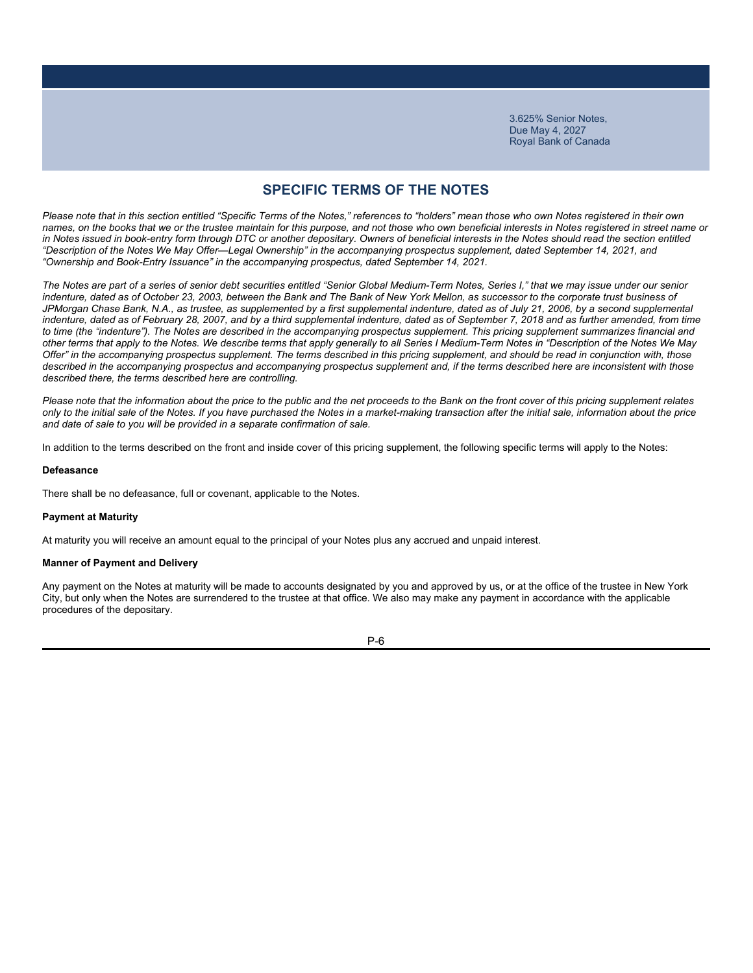### **SPECIFIC TERMS OF THE NOTES**

*Please note that in this section entitled "Specific Terms of the Notes," references to "holders" mean those who own Notes registered in their own names, on the books that we or the trustee maintain for this purpose, and not those who own beneficial interests in Notes registered in street name or*  in Notes issued in book-entry form through DTC or another depositary. Owners of beneficial interests in the Notes should read the section entitled *"Description of the Notes We May Offer—Legal Ownership" in the accompanying prospectus supplement, dated September 14, 2021, and "Ownership and Book-Entry Issuance" in the accompanying prospectus, dated September 14, 2021.*

*The Notes are part of a series of senior debt securities entitled "Senior Global Medium-Term Notes, Series I," that we may issue under our senior indenture, dated as of October 23, 2003, between the Bank and The Bank of New York Mellon, as successor to the corporate trust business of*  JPMorgan Chase Bank, N.A., as trustee, as supplemented by a first supplemental indenture, dated as of July 21, 2006, by a second supplemental *indenture, dated as of February 28, 2007, and by a third supplemental indenture, dated as of September 7, 2018 and as further amended, from time to time (the "indenture"). The Notes are described in the accompanying prospectus supplement. This pricing supplement summarizes financial and other terms that apply to the Notes. We describe terms that apply generally to all Series I Medium-Term Notes in "Description of the Notes We May Offer" in the accompanying prospectus supplement. The terms described in this pricing supplement, and should be read in conjunction with, those*  described in the accompanying prospectus and accompanying prospectus supplement and, if the terms described here are inconsistent with those *described there, the terms described here are controlling.*

*Please note that the information about the price to the public and the net proceeds to the Bank on the front cover of this pricing supplement relates only to the initial sale of the Notes. If you have purchased the Notes in a market-making transaction after the initial sale, information about the price and date of sale to you will be provided in a separate confirmation of sale.*

In addition to the terms described on the front and inside cover of this pricing supplement, the following specific terms will apply to the Notes:

### **Defeasance**

There shall be no defeasance, full or covenant, applicable to the Notes.

#### **Payment at Maturity**

At maturity you will receive an amount equal to the principal of your Notes plus any accrued and unpaid interest.

#### **Manner of Payment and Delivery**

Any payment on the Notes at maturity will be made to accounts designated by you and approved by us, or at the office of the trustee in New York City, but only when the Notes are surrendered to the trustee at that office. We also may make any payment in accordance with the applicable procedures of the depositary.

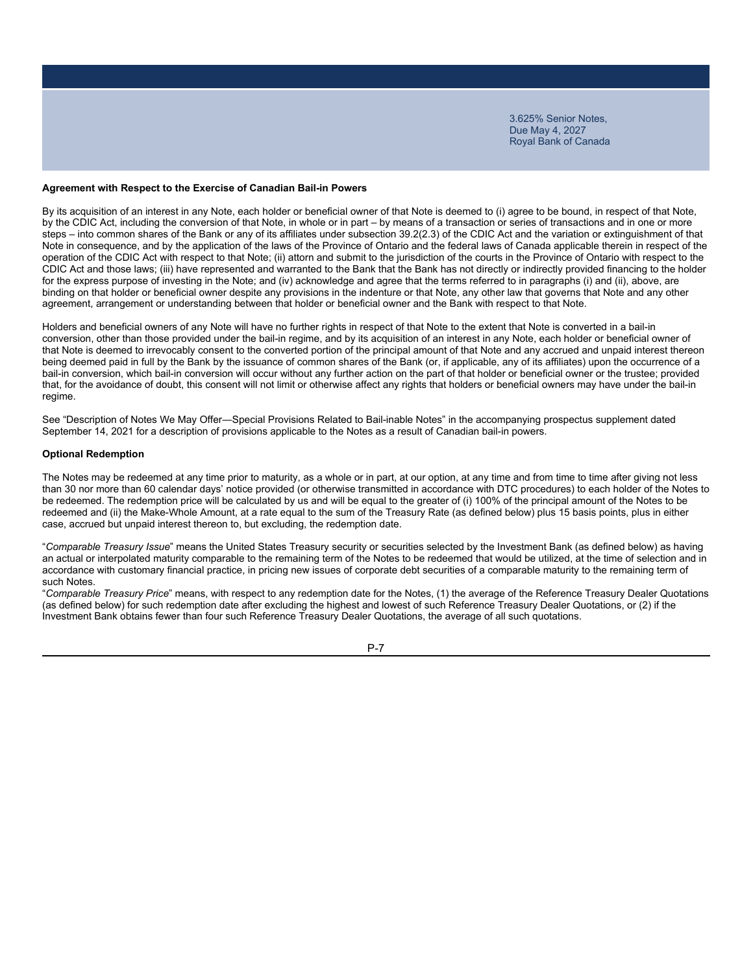### **Agreement with Respect to the Exercise of Canadian Bail-in Powers**

By its acquisition of an interest in any Note, each holder or beneficial owner of that Note is deemed to (i) agree to be bound, in respect of that Note, by the CDIC Act, including the conversion of that Note, in whole or in part – by means of a transaction or series of transactions and in one or more steps – into common shares of the Bank or any of its affiliates under subsection 39.2(2.3) of the CDIC Act and the variation or extinguishment of that Note in consequence, and by the application of the laws of the Province of Ontario and the federal laws of Canada applicable therein in respect of the operation of the CDIC Act with respect to that Note; (ii) attorn and submit to the jurisdiction of the courts in the Province of Ontario with respect to the CDIC Act and those laws; (iii) have represented and warranted to the Bank that the Bank has not directly or indirectly provided financing to the holder for the express purpose of investing in the Note; and (iv) acknowledge and agree that the terms referred to in paragraphs (i) and (ii), above, are binding on that holder or beneficial owner despite any provisions in the indenture or that Note, any other law that governs that Note and any other agreement, arrangement or understanding between that holder or beneficial owner and the Bank with respect to that Note.

Holders and beneficial owners of any Note will have no further rights in respect of that Note to the extent that Note is converted in a bail-in conversion, other than those provided under the bail-in regime, and by its acquisition of an interest in any Note, each holder or beneficial owner of that Note is deemed to irrevocably consent to the converted portion of the principal amount of that Note and any accrued and unpaid interest thereon being deemed paid in full by the Bank by the issuance of common shares of the Bank (or, if applicable, any of its affiliates) upon the occurrence of a bail-in conversion, which bail-in conversion will occur without any further action on the part of that holder or beneficial owner or the trustee; provided that, for the avoidance of doubt, this consent will not limit or otherwise affect any rights that holders or beneficial owners may have under the bail-in regime.

See "Description of Notes We May Offer―Special Provisions Related to Bail-inable Notes" in the accompanying prospectus supplement dated September 14, 2021 for a description of provisions applicable to the Notes as a result of Canadian bail-in powers.

### **Optional Redemption**

The Notes may be redeemed at any time prior to maturity, as a whole or in part, at our option, at any time and from time to time after giving not less than 30 nor more than 60 calendar days' notice provided (or otherwise transmitted in accordance with DTC procedures) to each holder of the Notes to be redeemed. The redemption price will be calculated by us and will be equal to the greater of (i) 100% of the principal amount of the Notes to be redeemed and (ii) the Make-Whole Amount, at a rate equal to the sum of the Treasury Rate (as defined below) plus 15 basis points, plus in either case, accrued but unpaid interest thereon to, but excluding, the redemption date.

"*Comparable Treasury Issue*" means the United States Treasury security or securities selected by the Investment Bank (as defined below) as having an actual or interpolated maturity comparable to the remaining term of the Notes to be redeemed that would be utilized, at the time of selection and in accordance with customary financial practice, in pricing new issues of corporate debt securities of a comparable maturity to the remaining term of such Notes.

"*Comparable Treasury Price*" means, with respect to any redemption date for the Notes, (1) the average of the Reference Treasury Dealer Quotations (as defined below) for such redemption date after excluding the highest and lowest of such Reference Treasury Dealer Quotations, or (2) if the Investment Bank obtains fewer than four such Reference Treasury Dealer Quotations, the average of all such quotations.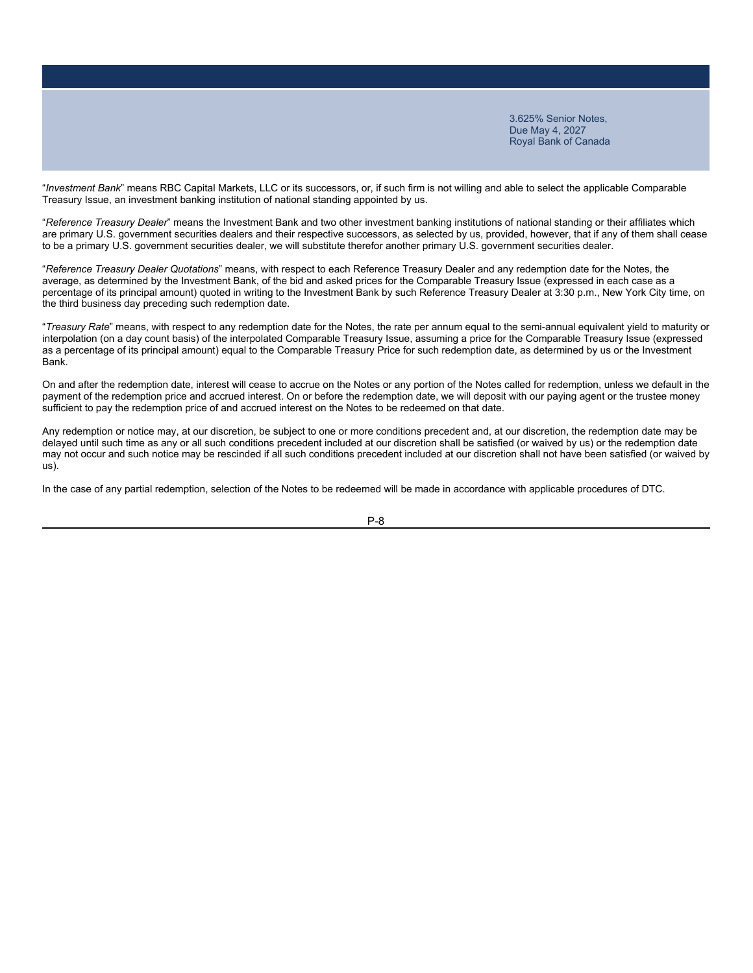"*Investment Bank*" means RBC Capital Markets, LLC or its successors, or, if such firm is not willing and able to select the applicable Comparable Treasury Issue, an investment banking institution of national standing appointed by us.

"*Reference Treasury Dealer*" means the Investment Bank and two other investment banking institutions of national standing or their affiliates which are primary U.S. government securities dealers and their respective successors, as selected by us, provided, however, that if any of them shall cease to be a primary U.S. government securities dealer, we will substitute therefor another primary U.S. government securities dealer.

"*Reference Treasury Dealer Quotations*" means, with respect to each Reference Treasury Dealer and any redemption date for the Notes, the average, as determined by the Investment Bank, of the bid and asked prices for the Comparable Treasury Issue (expressed in each case as a percentage of its principal amount) quoted in writing to the Investment Bank by such Reference Treasury Dealer at 3:30 p.m., New York City time, on the third business day preceding such redemption date.

"*Treasury Rate*" means, with respect to any redemption date for the Notes, the rate per annum equal to the semi-annual equivalent yield to maturity or interpolation (on a day count basis) of the interpolated Comparable Treasury Issue, assuming a price for the Comparable Treasury Issue (expressed as a percentage of its principal amount) equal to the Comparable Treasury Price for such redemption date, as determined by us or the Investment Bank.

On and after the redemption date, interest will cease to accrue on the Notes or any portion of the Notes called for redemption, unless we default in the payment of the redemption price and accrued interest. On or before the redemption date, we will deposit with our paying agent or the trustee money sufficient to pay the redemption price of and accrued interest on the Notes to be redeemed on that date.

Any redemption or notice may, at our discretion, be subject to one or more conditions precedent and, at our discretion, the redemption date may be delayed until such time as any or all such conditions precedent included at our discretion shall be satisfied (or waived by us) or the redemption date may not occur and such notice may be rescinded if all such conditions precedent included at our discretion shall not have been satisfied (or waived by us).

In the case of any partial redemption, selection of the Notes to be redeemed will be made in accordance with applicable procedures of DTC.

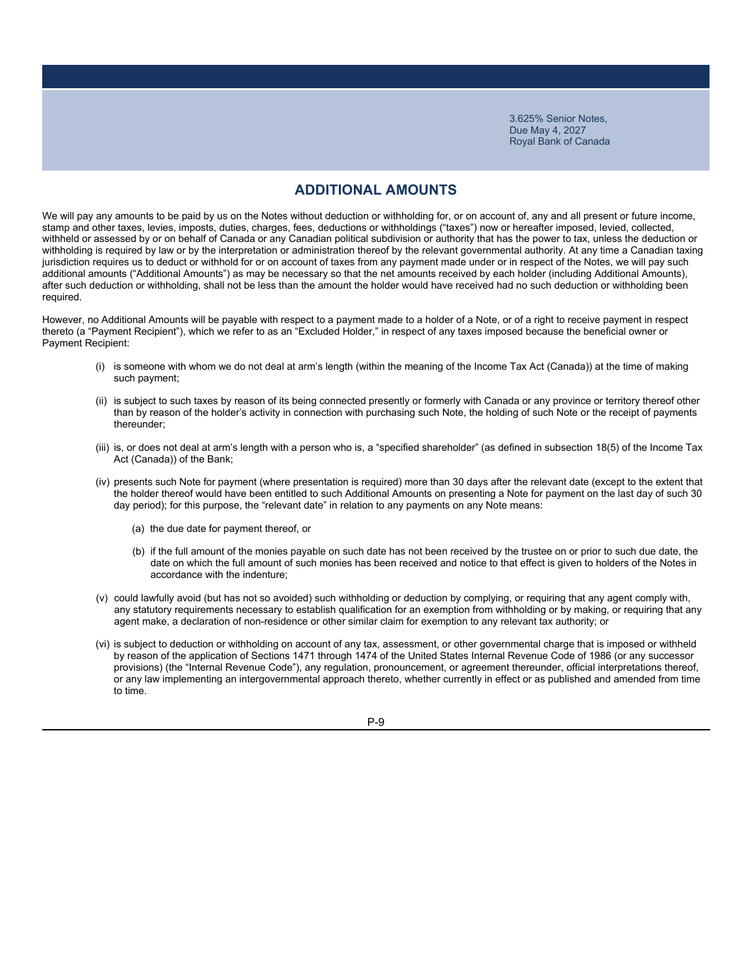### **ADDITIONAL AMOUNTS**

We will pay any amounts to be paid by us on the Notes without deduction or withholding for, or on account of, any and all present or future income, stamp and other taxes, levies, imposts, duties, charges, fees, deductions or withholdings ("taxes") now or hereafter imposed, levied, collected, withheld or assessed by or on behalf of Canada or any Canadian political subdivision or authority that has the power to tax, unless the deduction or withholding is required by law or by the interpretation or administration thereof by the relevant governmental authority. At any time a Canadian taxing jurisdiction requires us to deduct or withhold for or on account of taxes from any payment made under or in respect of the Notes, we will pay such additional amounts ("Additional Amounts") as may be necessary so that the net amounts received by each holder (including Additional Amounts), after such deduction or withholding, shall not be less than the amount the holder would have received had no such deduction or withholding been required.

However, no Additional Amounts will be payable with respect to a payment made to a holder of a Note, or of a right to receive payment in respect thereto (a "Payment Recipient"), which we refer to as an "Excluded Holder," in respect of any taxes imposed because the beneficial owner or Payment Recipient:

- (i) is someone with whom we do not deal at arm's length (within the meaning of the Income Tax Act (Canada)) at the time of making such payment;
- (ii) is subject to such taxes by reason of its being connected presently or formerly with Canada or any province or territory thereof other than by reason of the holder's activity in connection with purchasing such Note, the holding of such Note or the receipt of payments thereunder;
- (iii) is, or does not deal at arm's length with a person who is, a "specified shareholder" (as defined in subsection 18(5) of the Income Tax Act (Canada)) of the Bank;
- (iv) presents such Note for payment (where presentation is required) more than 30 days after the relevant date (except to the extent that the holder thereof would have been entitled to such Additional Amounts on presenting a Note for payment on the last day of such 30 day period); for this purpose, the "relevant date" in relation to any payments on any Note means:
	- (a) the due date for payment thereof, or
	- (b) if the full amount of the monies payable on such date has not been received by the trustee on or prior to such due date, the date on which the full amount of such monies has been received and notice to that effect is given to holders of the Notes in accordance with the indenture;
- (v) could lawfully avoid (but has not so avoided) such withholding or deduction by complying, or requiring that any agent comply with, any statutory requirements necessary to establish qualification for an exemption from withholding or by making, or requiring that any agent make, a declaration of non-residence or other similar claim for exemption to any relevant tax authority; or
- (vi) is subject to deduction or withholding on account of any tax, assessment, or other governmental charge that is imposed or withheld by reason of the application of Sections 1471 through 1474 of the United States Internal Revenue Code of 1986 (or any successor provisions) (the "Internal Revenue Code"), any regulation, pronouncement, or agreement thereunder, official interpretations thereof, or any law implementing an intergovernmental approach thereto, whether currently in effect or as published and amended from time to time.

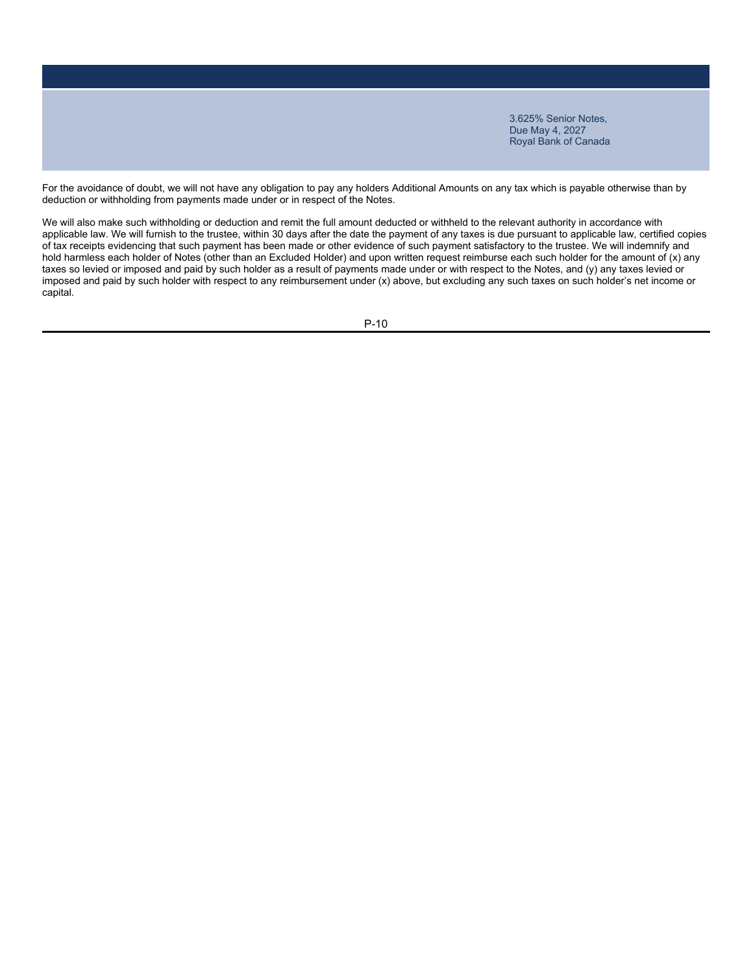For the avoidance of doubt, we will not have any obligation to pay any holders Additional Amounts on any tax which is payable otherwise than by deduction or withholding from payments made under or in respect of the Notes.

We will also make such withholding or deduction and remit the full amount deducted or withheld to the relevant authority in accordance with applicable law. We will furnish to the trustee, within 30 days after the date the payment of any taxes is due pursuant to applicable law, certified copies of tax receipts evidencing that such payment has been made or other evidence of such payment satisfactory to the trustee. We will indemnify and hold harmless each holder of Notes (other than an Excluded Holder) and upon written request reimburse each such holder for the amount of (x) any taxes so levied or imposed and paid by such holder as a result of payments made under or with respect to the Notes, and (y) any taxes levied or imposed and paid by such holder with respect to any reimbursement under (x) above, but excluding any such taxes on such holder's net income or capital.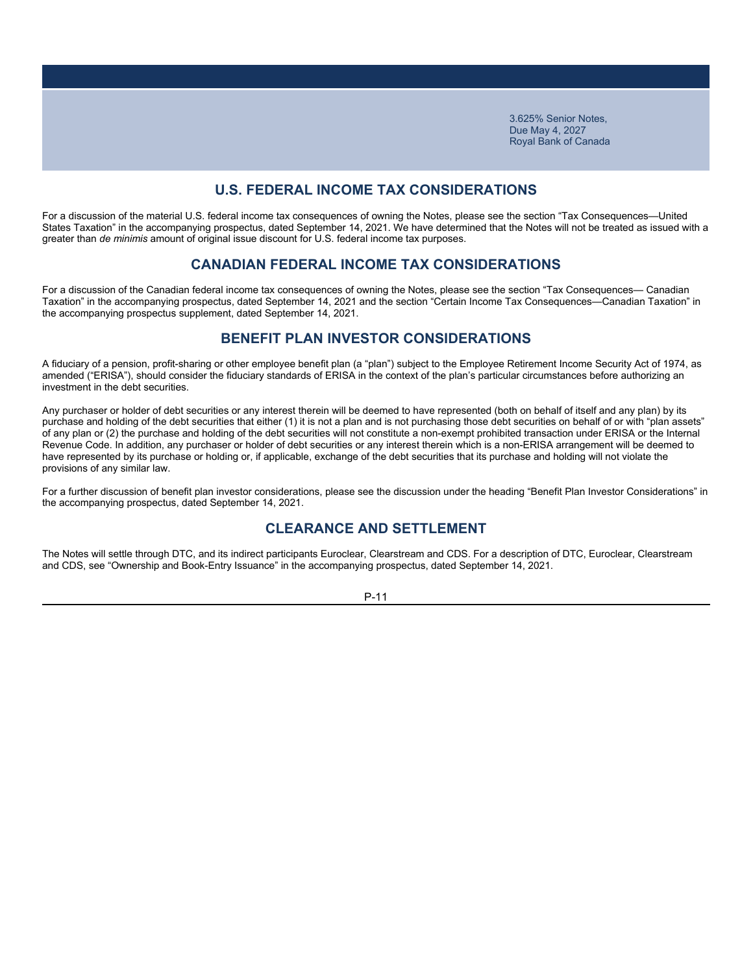### **U.S. FEDERAL INCOME TAX CONSIDERATIONS**

For a discussion of the material U.S. federal income tax consequences of owning the Notes, please see the section "Tax Consequences—United States Taxation" in the accompanying prospectus, dated September 14, 2021. We have determined that the Notes will not be treated as issued with a greater than *de minimis* amount of original issue discount for U.S. federal income tax purposes.

### **CANADIAN FEDERAL INCOME TAX CONSIDERATIONS**

For a discussion of the Canadian federal income tax consequences of owning the Notes, please see the section "Tax Consequences— Canadian Taxation" in the accompanying prospectus, dated September 14, 2021 and the section "Certain Income Tax Consequences—Canadian Taxation" in the accompanying prospectus supplement, dated September 14, 2021.

### **BENEFIT PLAN INVESTOR CONSIDERATIONS**

A fiduciary of a pension, profit-sharing or other employee benefit plan (a "plan") subject to the Employee Retirement Income Security Act of 1974, as amended ("ERISA"), should consider the fiduciary standards of ERISA in the context of the plan's particular circumstances before authorizing an investment in the debt securities.

Any purchaser or holder of debt securities or any interest therein will be deemed to have represented (both on behalf of itself and any plan) by its purchase and holding of the debt securities that either (1) it is not a plan and is not purchasing those debt securities on behalf of or with "plan assets" of any plan or (2) the purchase and holding of the debt securities will not constitute a non-exempt prohibited transaction under ERISA or the Internal Revenue Code. In addition, any purchaser or holder of debt securities or any interest therein which is a non-ERISA arrangement will be deemed to have represented by its purchase or holding or, if applicable, exchange of the debt securities that its purchase and holding will not violate the provisions of any similar law.

For a further discussion of benefit plan investor considerations, please see the discussion under the heading "Benefit Plan Investor Considerations" in the accompanying prospectus, dated September 14, 2021.

### **CLEARANCE AND SETTLEMENT**

The Notes will settle through DTC, and its indirect participants Euroclear, Clearstream and CDS. For a description of DTC, Euroclear, Clearstream and CDS, see "Ownership and Book-Entry Issuance" in the accompanying prospectus, dated September 14, 2021.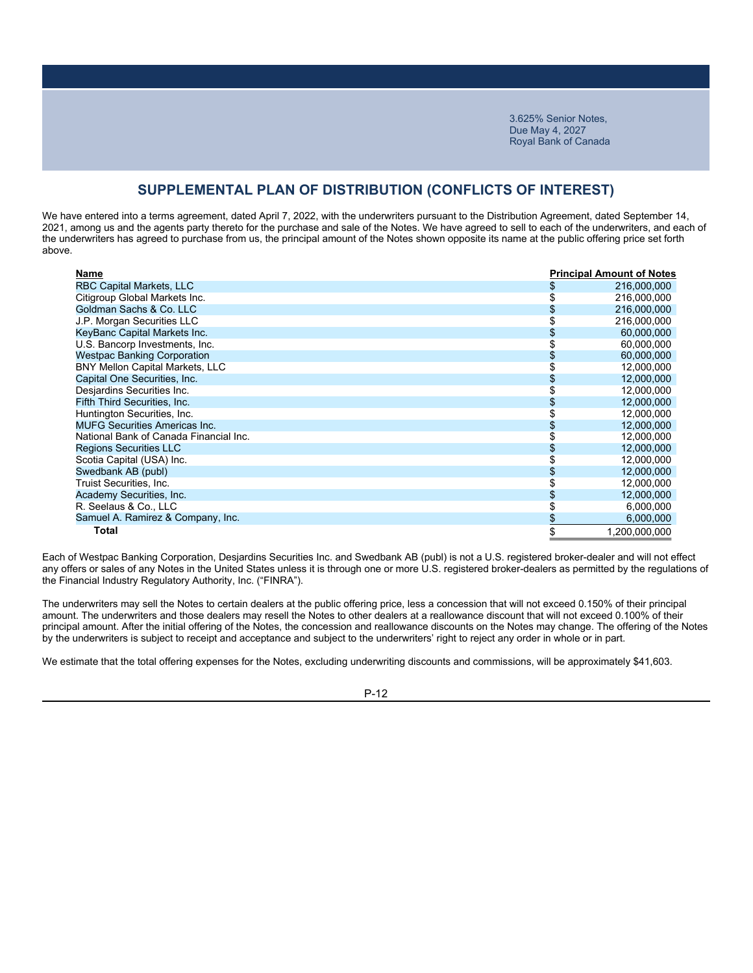### **SUPPLEMENTAL PLAN OF DISTRIBUTION (CONFLICTS OF INTEREST)**

We have entered into a terms agreement, dated April 7, 2022, with the underwriters pursuant to the Distribution Agreement, dated September 14, 2021, among us and the agents party thereto for the purchase and sale of the Notes. We have agreed to sell to each of the underwriters, and each of the underwriters has agreed to purchase from us, the principal amount of the Notes shown opposite its name at the public offering price set forth above.

| Name                                   | <b>Principal Amount of Notes</b> |
|----------------------------------------|----------------------------------|
| <b>RBC Capital Markets, LLC</b>        | \$<br>216,000,000                |
| Citigroup Global Markets Inc.          | 216,000,000                      |
| Goldman Sachs & Co. LLC                | 216,000,000                      |
| J.P. Morgan Securities LLC             | 216,000,000                      |
| KeyBanc Capital Markets Inc.           | 60,000,000                       |
| U.S. Bancorp Investments, Inc.         | 60,000,000                       |
| <b>Westpac Banking Corporation</b>     | 60,000,000                       |
| <b>BNY Mellon Capital Markets, LLC</b> | 12,000,000                       |
| Capital One Securities, Inc.           | 12,000,000                       |
| Desjardins Securities Inc.             | 12,000,000                       |
| Fifth Third Securities, Inc.           | 12,000,000                       |
| Huntington Securities, Inc.            | 12,000,000                       |
| <b>MUFG Securities Americas Inc.</b>   | 12,000,000                       |
| National Bank of Canada Financial Inc. | 12,000,000                       |
| <b>Regions Securities LLC</b>          | 12,000,000                       |
| Scotia Capital (USA) Inc.              | 12,000,000                       |
| Swedbank AB (publ)                     | 12,000,000                       |
| Truist Securities, Inc.                | 12,000,000                       |
| Academy Securities, Inc.               | 12,000,000                       |
| R. Seelaus & Co., LLC                  | 6,000,000                        |
| Samuel A. Ramirez & Company, Inc.      | \$<br>6,000,000                  |
| Total                                  | \$<br>1,200,000,000              |

Each of Westpac Banking Corporation, Desjardins Securities Inc. and Swedbank AB (publ) is not a U.S. registered broker-dealer and will not effect any offers or sales of any Notes in the United States unless it is through one or more U.S. registered broker-dealers as permitted by the regulations of the Financial Industry Regulatory Authority, Inc. ("FINRA").

The underwriters may sell the Notes to certain dealers at the public offering price, less a concession that will not exceed 0.150% of their principal amount. The underwriters and those dealers may resell the Notes to other dealers at a reallowance discount that will not exceed 0.100% of their principal amount. After the initial offering of the Notes, the concession and reallowance discounts on the Notes may change. The offering of the Notes by the underwriters is subject to receipt and acceptance and subject to the underwriters' right to reject any order in whole or in part.

We estimate that the total offering expenses for the Notes, excluding underwriting discounts and commissions, will be approximately \$41,603.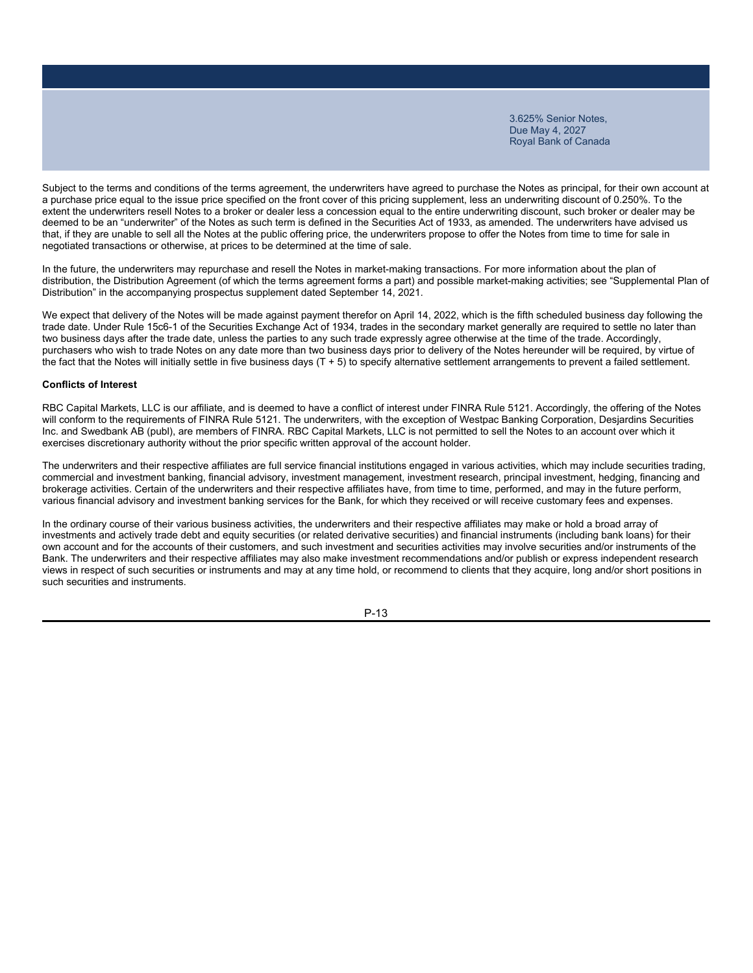Subject to the terms and conditions of the terms agreement, the underwriters have agreed to purchase the Notes as principal, for their own account at a purchase price equal to the issue price specified on the front cover of this pricing supplement, less an underwriting discount of 0.250%. To the extent the underwriters resell Notes to a broker or dealer less a concession equal to the entire underwriting discount, such broker or dealer may be deemed to be an "underwriter" of the Notes as such term is defined in the Securities Act of 1933, as amended. The underwriters have advised us that, if they are unable to sell all the Notes at the public offering price, the underwriters propose to offer the Notes from time to time for sale in negotiated transactions or otherwise, at prices to be determined at the time of sale.

In the future, the underwriters may repurchase and resell the Notes in market-making transactions. For more information about the plan of distribution, the Distribution Agreement (of which the terms agreement forms a part) and possible market-making activities; see "Supplemental Plan of Distribution" in the accompanying prospectus supplement dated September 14, 2021.

We expect that delivery of the Notes will be made against payment therefor on April 14, 2022, which is the fifth scheduled business day following the trade date. Under Rule 15c6-1 of the Securities Exchange Act of 1934, trades in the secondary market generally are required to settle no later than two business days after the trade date, unless the parties to any such trade expressly agree otherwise at the time of the trade. Accordingly, purchasers who wish to trade Notes on any date more than two business days prior to delivery of the Notes hereunder will be required, by virtue of the fact that the Notes will initially settle in five business days (T + 5) to specify alternative settlement arrangements to prevent a failed settlement.

#### **Conflicts of Interest**

RBC Capital Markets, LLC is our affiliate, and is deemed to have a conflict of interest under FINRA Rule 5121. Accordingly, the offering of the Notes will conform to the requirements of FINRA Rule 5121. The underwriters, with the exception of Westpac Banking Corporation, Desjardins Securities Inc. and Swedbank AB (publ), are members of FINRA. RBC Capital Markets, LLC is not permitted to sell the Notes to an account over which it exercises discretionary authority without the prior specific written approval of the account holder.

The underwriters and their respective affiliates are full service financial institutions engaged in various activities, which may include securities trading, commercial and investment banking, financial advisory, investment management, investment research, principal investment, hedging, financing and brokerage activities. Certain of the underwriters and their respective affiliates have, from time to time, performed, and may in the future perform, various financial advisory and investment banking services for the Bank, for which they received or will receive customary fees and expenses.

In the ordinary course of their various business activities, the underwriters and their respective affiliates may make or hold a broad array of investments and actively trade debt and equity securities (or related derivative securities) and financial instruments (including bank loans) for their own account and for the accounts of their customers, and such investment and securities activities may involve securities and/or instruments of the Bank. The underwriters and their respective affiliates may also make investment recommendations and/or publish or express independent research views in respect of such securities or instruments and may at any time hold, or recommend to clients that they acquire, long and/or short positions in such securities and instruments.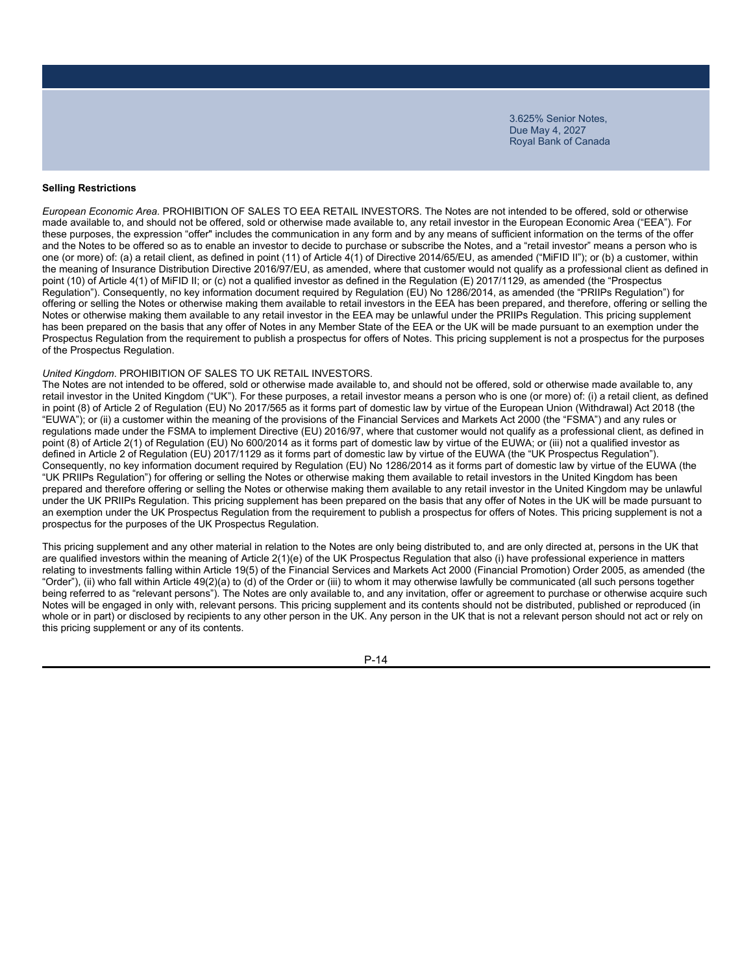### **Selling Restrictions**

*European Economic Area.* PROHIBITION OF SALES TO EEA RETAIL INVESTORS. The Notes are not intended to be offered, sold or otherwise made available to, and should not be offered, sold or otherwise made available to, any retail investor in the European Economic Area ("EEA"). For these purposes, the expression "offer" includes the communication in any form and by any means of sufficient information on the terms of the offer and the Notes to be offered so as to enable an investor to decide to purchase or subscribe the Notes, and a "retail investor" means a person who is one (or more) of: (a) a retail client, as defined in point (11) of Article 4(1) of Directive 2014/65/EU, as amended ("MiFID II"); or (b) a customer, within the meaning of Insurance Distribution Directive 2016/97/EU, as amended, where that customer would not qualify as a professional client as defined in point (10) of Article 4(1) of MiFID II; or (c) not a qualified investor as defined in the Regulation (E) 2017/1129, as amended (the "Prospectus Regulation"). Consequently, no key information document required by Regulation (EU) No 1286/2014, as amended (the "PRIIPs Regulation") for offering or selling the Notes or otherwise making them available to retail investors in the EEA has been prepared, and therefore, offering or selling the Notes or otherwise making them available to any retail investor in the EEA may be unlawful under the PRIIPs Regulation. This pricing supplement has been prepared on the basis that any offer of Notes in any Member State of the EEA or the UK will be made pursuant to an exemption under the Prospectus Regulation from the requirement to publish a prospectus for offers of Notes. This pricing supplement is not a prospectus for the purposes of the Prospectus Regulation.

### *United Kingdom*. PROHIBITION OF SALES TO UK RETAIL INVESTORS.

The Notes are not intended to be offered, sold or otherwise made available to, and should not be offered, sold or otherwise made available to, any retail investor in the United Kingdom ("UK"). For these purposes, a retail investor means a person who is one (or more) of: (i) a retail client, as defined in point (8) of Article 2 of Regulation (EU) No 2017/565 as it forms part of domestic law by virtue of the European Union (Withdrawal) Act 2018 (the "EUWA"); or (ii) a customer within the meaning of the provisions of the Financial Services and Markets Act 2000 (the "FSMA") and any rules or regulations made under the FSMA to implement Directive (EU) 2016/97, where that customer would not qualify as a professional client, as defined in point (8) of Article 2(1) of Regulation (EU) No 600/2014 as it forms part of domestic law by virtue of the EUWA; or (iii) not a qualified investor as defined in Article 2 of Regulation (EU) 2017/1129 as it forms part of domestic law by virtue of the EUWA (the "UK Prospectus Regulation"). Consequently, no key information document required by Regulation (EU) No 1286/2014 as it forms part of domestic law by virtue of the EUWA (the "UK PRIIPs Regulation") for offering or selling the Notes or otherwise making them available to retail investors in the United Kingdom has been prepared and therefore offering or selling the Notes or otherwise making them available to any retail investor in the United Kingdom may be unlawful under the UK PRIIPs Regulation. This pricing supplement has been prepared on the basis that any offer of Notes in the UK will be made pursuant to an exemption under the UK Prospectus Regulation from the requirement to publish a prospectus for offers of Notes. This pricing supplement is not a prospectus for the purposes of the UK Prospectus Regulation.

This pricing supplement and any other material in relation to the Notes are only being distributed to, and are only directed at, persons in the UK that are qualified investors within the meaning of Article 2(1)(e) of the UK Prospectus Regulation that also (i) have professional experience in matters relating to investments falling within Article 19(5) of the Financial Services and Markets Act 2000 (Financial Promotion) Order 2005, as amended (the "Order"), (ii) who fall within Article 49(2)(a) to (d) of the Order or (iii) to whom it may otherwise lawfully be communicated (all such persons together being referred to as "relevant persons"). The Notes are only available to, and any invitation, offer or agreement to purchase or otherwise acquire such Notes will be engaged in only with, relevant persons. This pricing supplement and its contents should not be distributed, published or reproduced (in whole or in part) or disclosed by recipients to any other person in the UK. Any person in the UK that is not a relevant person should not act or rely on this pricing supplement or any of its contents.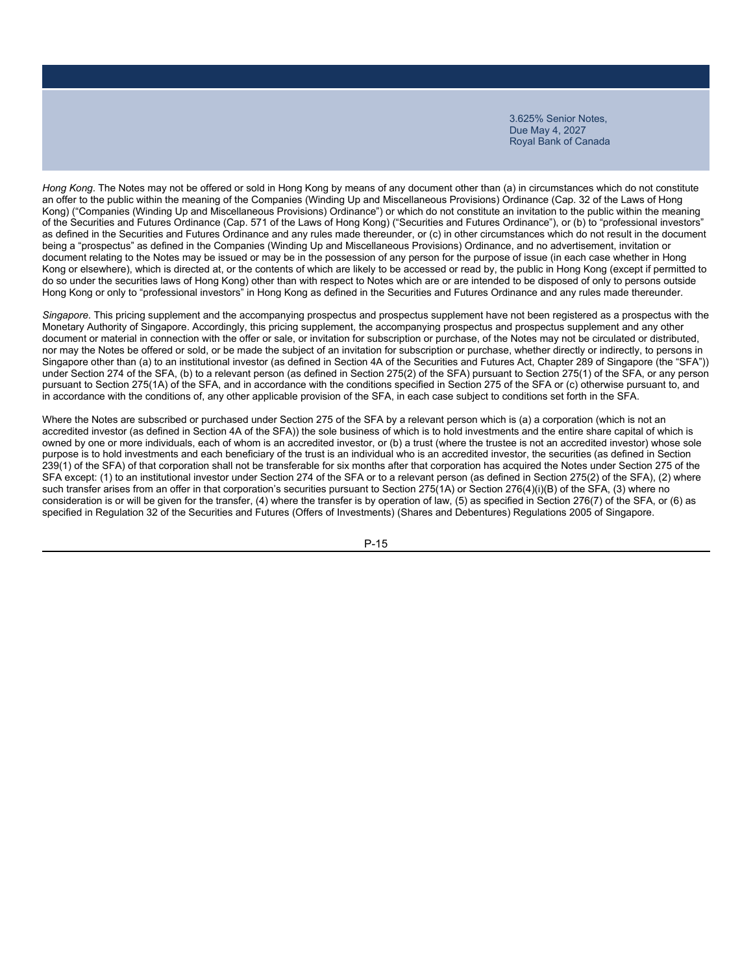*Hong Kong*. The Notes may not be offered or sold in Hong Kong by means of any document other than (a) in circumstances which do not constitute an offer to the public within the meaning of the Companies (Winding Up and Miscellaneous Provisions) Ordinance (Cap. 32 of the Laws of Hong Kong) ("Companies (Winding Up and Miscellaneous Provisions) Ordinance") or which do not constitute an invitation to the public within the meaning of the Securities and Futures Ordinance (Cap. 571 of the Laws of Hong Kong) ("Securities and Futures Ordinance"), or (b) to "professional investors" as defined in the Securities and Futures Ordinance and any rules made thereunder, or (c) in other circumstances which do not result in the document being a "prospectus" as defined in the Companies (Winding Up and Miscellaneous Provisions) Ordinance, and no advertisement, invitation or document relating to the Notes may be issued or may be in the possession of any person for the purpose of issue (in each case whether in Hong Kong or elsewhere), which is directed at, or the contents of which are likely to be accessed or read by, the public in Hong Kong (except if permitted to do so under the securities laws of Hong Kong) other than with respect to Notes which are or are intended to be disposed of only to persons outside Hong Kong or only to "professional investors" in Hong Kong as defined in the Securities and Futures Ordinance and any rules made thereunder.

*Singapore*. This pricing supplement and the accompanying prospectus and prospectus supplement have not been registered as a prospectus with the Monetary Authority of Singapore. Accordingly, this pricing supplement, the accompanying prospectus and prospectus supplement and any other document or material in connection with the offer or sale, or invitation for subscription or purchase, of the Notes may not be circulated or distributed, nor may the Notes be offered or sold, or be made the subject of an invitation for subscription or purchase, whether directly or indirectly, to persons in Singapore other than (a) to an institutional investor (as defined in Section 4A of the Securities and Futures Act, Chapter 289 of Singapore (the "SFA")) under Section 274 of the SFA, (b) to a relevant person (as defined in Section 275(2) of the SFA) pursuant to Section 275(1) of the SFA, or any person pursuant to Section 275(1A) of the SFA, and in accordance with the conditions specified in Section 275 of the SFA or (c) otherwise pursuant to, and in accordance with the conditions of, any other applicable provision of the SFA, in each case subject to conditions set forth in the SFA.

Where the Notes are subscribed or purchased under Section 275 of the SFA by a relevant person which is (a) a corporation (which is not an accredited investor (as defined in Section 4A of the SFA)) the sole business of which is to hold investments and the entire share capital of which is owned by one or more individuals, each of whom is an accredited investor, or (b) a trust (where the trustee is not an accredited investor) whose sole purpose is to hold investments and each beneficiary of the trust is an individual who is an accredited investor, the securities (as defined in Section 239(1) of the SFA) of that corporation shall not be transferable for six months after that corporation has acquired the Notes under Section 275 of the SFA except: (1) to an institutional investor under Section 274 of the SFA or to a relevant person (as defined in Section 275(2) of the SFA), (2) where such transfer arises from an offer in that corporation's securities pursuant to Section 275(1A) or Section 276(4)(i)(B) of the SFA, (3) where no consideration is or will be given for the transfer, (4) where the transfer is by operation of law, (5) as specified in Section 276(7) of the SFA, or (6) as specified in Regulation 32 of the Securities and Futures (Offers of Investments) (Shares and Debentures) Regulations 2005 of Singapore.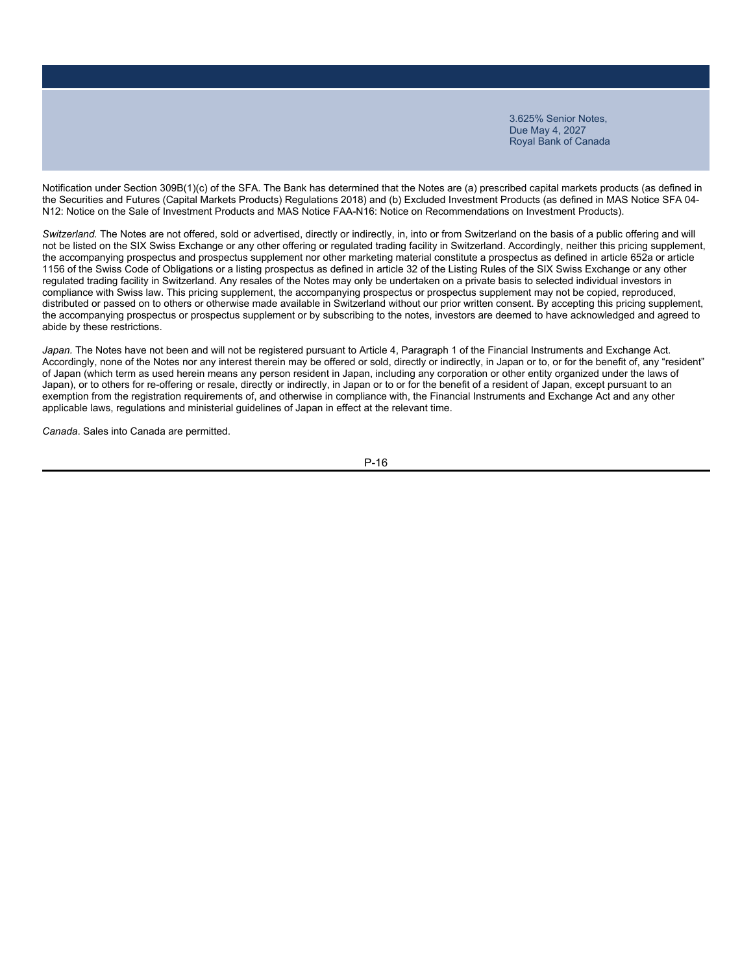Notification under Section 309B(1)(c) of the SFA. The Bank has determined that the Notes are (a) prescribed capital markets products (as defined in the Securities and Futures (Capital Markets Products) Regulations 2018) and (b) Excluded Investment Products (as defined in MAS Notice SFA 04- N12: Notice on the Sale of Investment Products and MAS Notice FAA-N16: Notice on Recommendations on Investment Products).

*Switzerland.* The Notes are not offered, sold or advertised, directly or indirectly, in, into or from Switzerland on the basis of a public offering and will not be listed on the SIX Swiss Exchange or any other offering or regulated trading facility in Switzerland. Accordingly, neither this pricing supplement, the accompanying prospectus and prospectus supplement nor other marketing material constitute a prospectus as defined in article 652a or article 1156 of the Swiss Code of Obligations or a listing prospectus as defined in article 32 of the Listing Rules of the SIX Swiss Exchange or any other regulated trading facility in Switzerland. Any resales of the Notes may only be undertaken on a private basis to selected individual investors in compliance with Swiss law. This pricing supplement, the accompanying prospectus or prospectus supplement may not be copied, reproduced, distributed or passed on to others or otherwise made available in Switzerland without our prior written consent. By accepting this pricing supplement, the accompanying prospectus or prospectus supplement or by subscribing to the notes, investors are deemed to have acknowledged and agreed to abide by these restrictions.

*Japan.* The Notes have not been and will not be registered pursuant to Article 4, Paragraph 1 of the Financial Instruments and Exchange Act. Accordingly, none of the Notes nor any interest therein may be offered or sold, directly or indirectly, in Japan or to, or for the benefit of, any "resident" of Japan (which term as used herein means any person resident in Japan, including any corporation or other entity organized under the laws of Japan), or to others for re-offering or resale, directly or indirectly, in Japan or to or for the benefit of a resident of Japan, except pursuant to an exemption from the registration requirements of, and otherwise in compliance with, the Financial Instruments and Exchange Act and any other applicable laws, regulations and ministerial guidelines of Japan in effect at the relevant time.

*Canada*. Sales into Canada are permitted.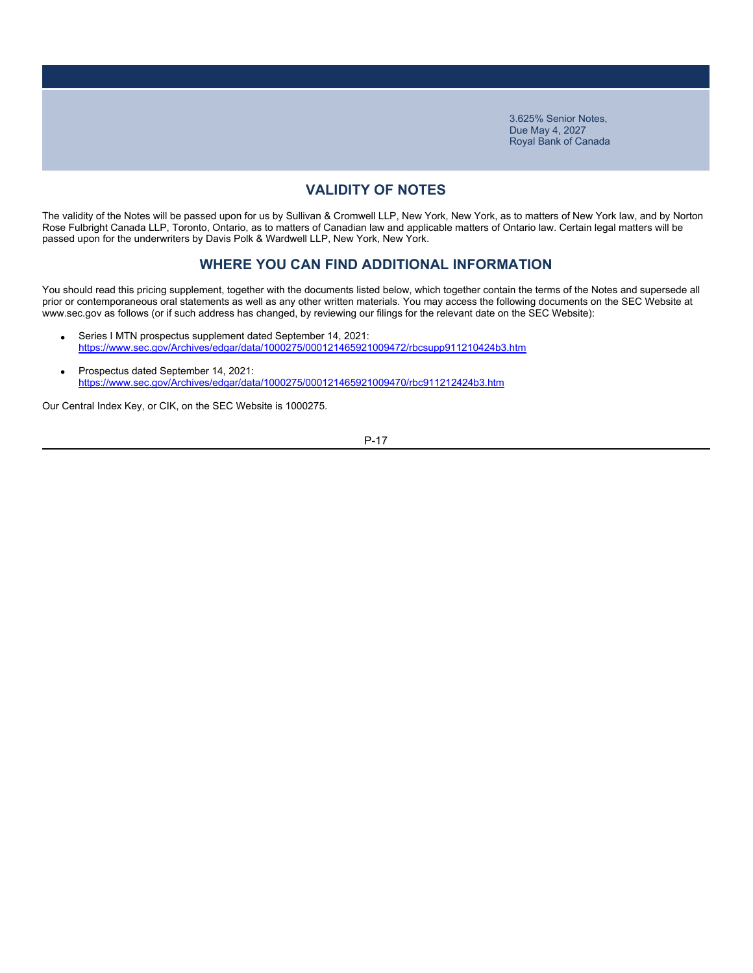# **VALIDITY OF NOTES**

The validity of the Notes will be passed upon for us by Sullivan & Cromwell LLP, New York, New York, as to matters of New York law, and by Norton Rose Fulbright Canada LLP, Toronto, Ontario, as to matters of Canadian law and applicable matters of Ontario law. Certain legal matters will be passed upon for the underwriters by Davis Polk & Wardwell LLP, New York, New York.

### **WHERE YOU CAN FIND ADDITIONAL INFORMATION**

You should read this pricing supplement, together with the documents listed below, which together contain the terms of the Notes and supersede all prior or contemporaneous oral statements as well as any other written materials. You may access the following documents on the SEC Website at www.sec.gov as follows (or if such address has changed, by reviewing our filings for the relevant date on the SEC Website):

- Series I MTN prospectus supplement dated September 14, 2021: https://www.sec.gov/Archives/edgar/data/1000275/000121465921009472/rbcsupp911210424b3.htm
- Prospectus dated September 14, 2021: https://www.sec.gov/Archives/edgar/data/1000275/000121465921009470/rbc911212424b3.htm

Our Central Index Key, or CIK, on the SEC Website is 1000275.